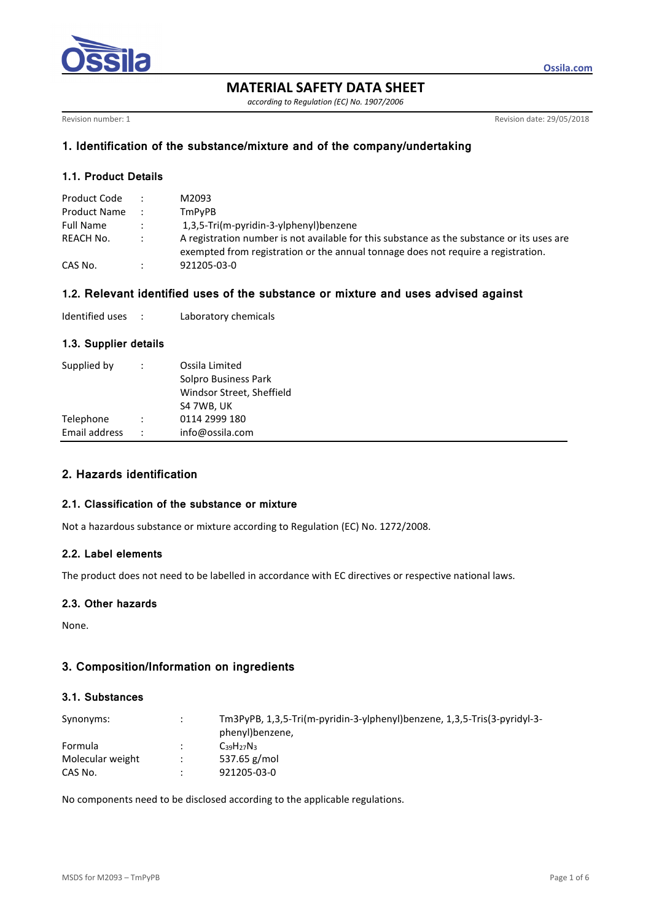

**MATERIAL SAFETY DATA SHEET** 

*according to Regulation (EC) No. 1907/2006* 

Revision number: 1 Revision date: 29/05/2018

**Ossila.com**

# **1. Identification of the substance/mixture and of the company/undertaking**

## **1.1. Product Details**

| Product Code     | M2093                                                                                                                                                                           |
|------------------|---------------------------------------------------------------------------------------------------------------------------------------------------------------------------------|
| Product Name     | TmPvPB                                                                                                                                                                          |
| <b>Full Name</b> | 1,3,5-Tri(m-pyridin-3-ylphenyl)benzene                                                                                                                                          |
| REACH No.        | A registration number is not available for this substance as the substance or its uses are<br>exempted from registration or the annual tonnage does not require a registration. |
| CAS No.          | 921205-03-0                                                                                                                                                                     |

#### **1.2. Relevant identified uses of the substance or mixture and uses advised against**

| Identified uses |  | Laboratory chemicals |
|-----------------|--|----------------------|
|-----------------|--|----------------------|

### **1.3. Supplier details**

| Supplied by   | $\ddot{\phantom{0}}$ | Ossila Limited<br>Solpro Business Park<br>Windsor Street, Sheffield<br>S4 7WB, UK |
|---------------|----------------------|-----------------------------------------------------------------------------------|
| Telephone     | $\ddot{\phantom{1}}$ | 0114 2999 180                                                                     |
| Email address | $\ddot{\phantom{0}}$ | info@ossila.com                                                                   |

# **2. Hazards identification**

### **2.1. Classification of the substance or mixture**

Not a hazardous substance or mixture according to Regulation (EC) No. 1272/2008.

### **2.2. Label elements**

The product does not need to be labelled in accordance with EC directives or respective national laws.

# **2.3. Other hazards**

None.

## **3. Composition/Information on ingredients**

#### **3.1. Substances**

| Synonyms:        | $\cdot$ | Tm3PyPB, 1,3,5-Tri(m-pyridin-3-ylphenyl)benzene, 1,3,5-Tris(3-pyridyl-3-<br>phenyl)benzene, |
|------------------|---------|---------------------------------------------------------------------------------------------|
| Formula          |         | C39H27N3 -                                                                                  |
| Molecular weight |         | 537.65 $g/mol$                                                                              |
| CAS No.          |         | 921205-03-0                                                                                 |

No components need to be disclosed according to the applicable regulations.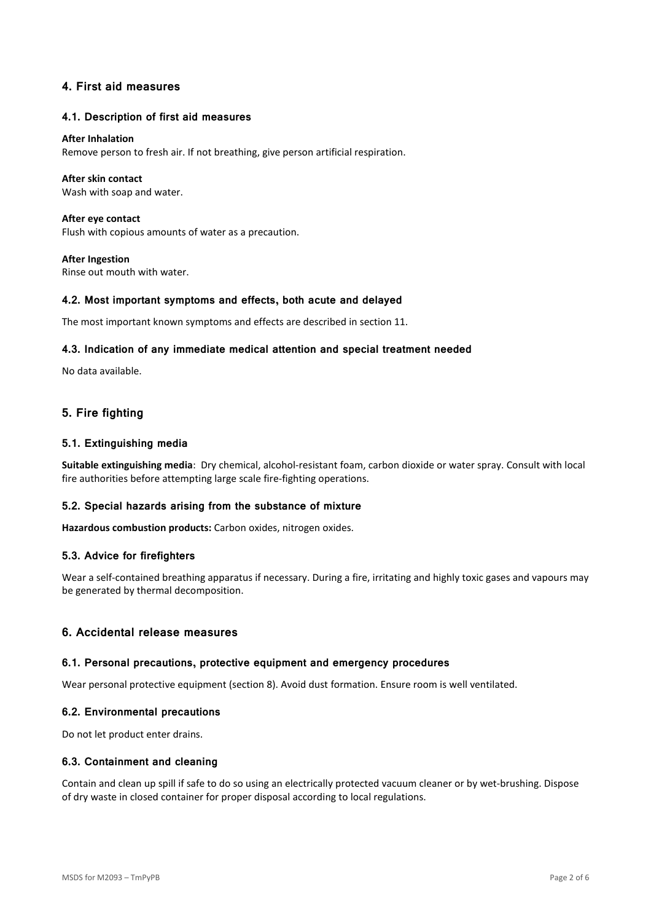## **4. First aid measures**

#### **4.1. Description of first aid measures**

#### **After Inhalation**

Remove person to fresh air. If not breathing, give person artificial respiration.

#### **After skin contact**

Wash with soap and water.

**After eye contact**  Flush with copious amounts of water as a precaution.

**After Ingestion**  Rinse out mouth with water.

#### **4.2. Most important symptoms and effects, both acute and delayed**

The most important known symptoms and effects are described in section 11.

#### **4.3. Indication of any immediate medical attention and special treatment needed**

No data available.

## **5. Fire fighting**

#### **5.1. Extinguishing media**

**Suitable extinguishing media**: Dry chemical, alcohol-resistant foam, carbon dioxide or water spray. Consult with local fire authorities before attempting large scale fire-fighting operations.

### **5.2. Special hazards arising from the substance of mixture**

**Hazardous combustion products:** Carbon oxides, nitrogen oxides.

#### **5.3. Advice for firefighters**

Wear a self-contained breathing apparatus if necessary. During a fire, irritating and highly toxic gases and vapours may be generated by thermal decomposition.

### **6. Accidental release measures**

#### **6.1. Personal precautions, protective equipment and emergency procedures**

Wear personal protective equipment (section 8). Avoid dust formation. Ensure room is well ventilated.

#### **6.2. Environmental precautions**

Do not let product enter drains.

#### **6.3. Containment and cleaning**

Contain and clean up spill if safe to do so using an electrically protected vacuum cleaner or by wet-brushing. Dispose of dry waste in closed container for proper disposal according to local regulations.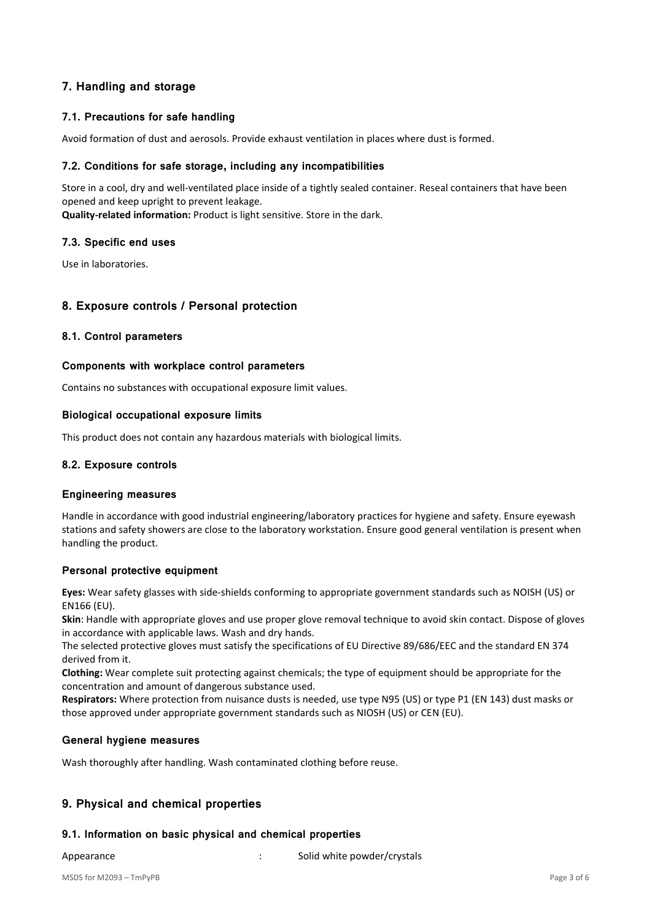# **7. Handling and storage**

## **7.1. Precautions for safe handling**

Avoid formation of dust and aerosols. Provide exhaust ventilation in places where dust is formed.

### **7.2. Conditions for safe storage, including any incompatibilities**

Store in a cool, dry and well-ventilated place inside of a tightly sealed container. Reseal containers that have been opened and keep upright to prevent leakage.

**Quality-related information:** Product is light sensitive. Store in the dark.

### **7.3. Specific end uses**

Use in laboratories.

### **8. Exposure controls / Personal protection**

### **8.1. Control parameters**

#### **Components with workplace control parameters**

Contains no substances with occupational exposure limit values.

### **Biological occupational exposure limits**

This product does not contain any hazardous materials with biological limits.

### **8.2. Exposure controls**

#### **Engineering measures**

Handle in accordance with good industrial engineering/laboratory practices for hygiene and safety. Ensure eyewash stations and safety showers are close to the laboratory workstation. Ensure good general ventilation is present when handling the product.

### **Personal protective equipment**

**Eyes:** Wear safety glasses with side-shields conforming to appropriate government standards such as NOISH (US) or EN166 (EU).

**Skin**: Handle with appropriate gloves and use proper glove removal technique to avoid skin contact. Dispose of gloves in accordance with applicable laws. Wash and dry hands.

The selected protective gloves must satisfy the specifications of EU Directive 89/686/EEC and the standard EN 374 derived from it.

**Clothing:** Wear complete suit protecting against chemicals; the type of equipment should be appropriate for the concentration and amount of dangerous substance used.

**Respirators:** Where protection from nuisance dusts is needed, use type N95 (US) or type P1 (EN 143) dust masks or those approved under appropriate government standards such as NIOSH (US) or CEN (EU).

### **General hygiene measures**

Wash thoroughly after handling. Wash contaminated clothing before reuse.

## **9. Physical and chemical properties**

### **9.1. Information on basic physical and chemical properties**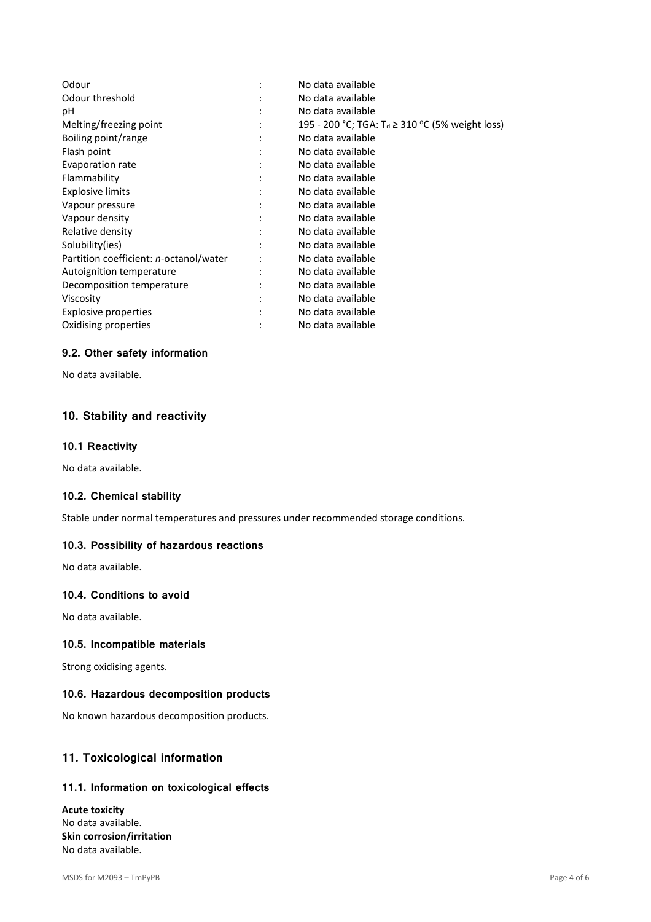| Odour                                          |           | No data available                                                |
|------------------------------------------------|-----------|------------------------------------------------------------------|
| Odour threshold                                |           | No data available                                                |
| рH                                             |           | No data available                                                |
| Melting/freezing point                         |           | 195 - 200 °C; TGA: T <sub>d</sub> $\geq$ 310 °C (5% weight loss) |
| Boiling point/range                            | ٠         | No data available                                                |
| Flash point                                    |           | No data available                                                |
| Evaporation rate                               |           | No data available                                                |
| Flammability                                   |           | No data available                                                |
| <b>Explosive limits</b>                        |           | No data available                                                |
| Vapour pressure                                |           | No data available                                                |
| Vapour density                                 |           | No data available                                                |
| Relative density                               |           | No data available                                                |
| Solubility(ies)                                | $\bullet$ | No data available                                                |
| Partition coefficient: <i>n</i> -octanol/water |           | No data available                                                |
| Autoignition temperature                       | $\bullet$ | No data available                                                |
| Decomposition temperature                      | ٠         | No data available                                                |
| Viscosity                                      | ٠         | No data available                                                |
| Explosive properties                           |           | No data available                                                |
| Oxidising properties                           |           | No data available                                                |

## **9.2. Other safety information**

No data available.

# **10. Stability and reactivity**

#### **10.1 Reactivity**

No data available.

## **10.2. Chemical stability**

Stable under normal temperatures and pressures under recommended storage conditions.

#### **10.3. Possibility of hazardous reactions**

No data available.

## **10.4. Conditions to avoid**

No data available.

### **10.5. Incompatible materials**

Strong oxidising agents.

#### **10.6. Hazardous decomposition products**

No known hazardous decomposition products.

## **11. Toxicological information**

#### **11.1. Information on toxicological effects**

**Acute toxicity**  No data available. **Skin corrosion/irritation**  No data available.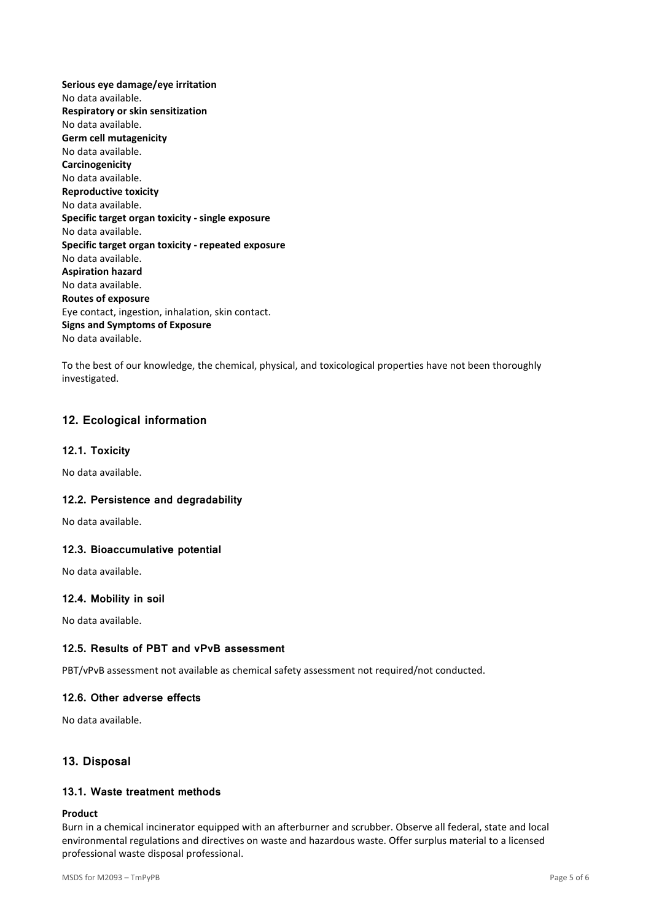**Serious eye damage/eye irritation**  No data available. **Respiratory or skin sensitization**  No data available. **Germ cell mutagenicity**  No data available. **Carcinogenicity**  No data available. **Reproductive toxicity**  No data available. **Specific target organ toxicity - single exposure**  No data available. **Specific target organ toxicity - repeated exposure**  No data available. **Aspiration hazard**  No data available. **Routes of exposure**  Eye contact, ingestion, inhalation, skin contact. **Signs and Symptoms of Exposure**  No data available.

To the best of our knowledge, the chemical, physical, and toxicological properties have not been thoroughly investigated.

# **12. Ecological information**

### **12.1. Toxicity**

No data available.

### **12.2. Persistence and degradability**

No data available.

### **12.3. Bioaccumulative potential**

No data available.

### **12.4. Mobility in soil**

No data available.

### **12.5. Results of PBT and vPvB assessment**

PBT/vPvB assessment not available as chemical safety assessment not required/not conducted.

### **12.6. Other adverse effects**

No data available.

## **13. Disposal**

## **13.1. Waste treatment methods**

#### **Product**

Burn in a chemical incinerator equipped with an afterburner and scrubber. Observe all federal, state and local environmental regulations and directives on waste and hazardous waste. Offer surplus material to a licensed professional waste disposal professional.